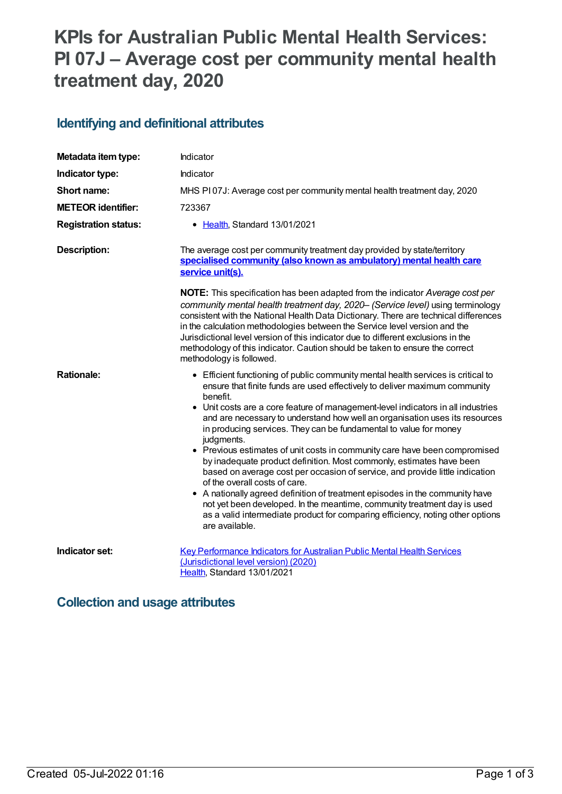# **KPIs for Australian Public Mental Health Services: PI 07J – Average cost per community mental health treatment day, 2020**

#### **Identifying and definitional attributes**

| Metadata item type:         | Indicator                                                                                                                                                                                                                                                                                                                                                                                                                                                                                                                                                                                                                                                                                                                                                                                                                                                                                                                                                                |
|-----------------------------|--------------------------------------------------------------------------------------------------------------------------------------------------------------------------------------------------------------------------------------------------------------------------------------------------------------------------------------------------------------------------------------------------------------------------------------------------------------------------------------------------------------------------------------------------------------------------------------------------------------------------------------------------------------------------------------------------------------------------------------------------------------------------------------------------------------------------------------------------------------------------------------------------------------------------------------------------------------------------|
| Indicator type:             | Indicator                                                                                                                                                                                                                                                                                                                                                                                                                                                                                                                                                                                                                                                                                                                                                                                                                                                                                                                                                                |
| Short name:                 | MHS PI07J: Average cost per community mental health treatment day, 2020                                                                                                                                                                                                                                                                                                                                                                                                                                                                                                                                                                                                                                                                                                                                                                                                                                                                                                  |
| <b>METEOR identifier:</b>   | 723367                                                                                                                                                                                                                                                                                                                                                                                                                                                                                                                                                                                                                                                                                                                                                                                                                                                                                                                                                                   |
| <b>Registration status:</b> | • Health, Standard 13/01/2021                                                                                                                                                                                                                                                                                                                                                                                                                                                                                                                                                                                                                                                                                                                                                                                                                                                                                                                                            |
| Description:                | The average cost per community treatment day provided by state/territory<br>specialised community (also known as ambulatory) mental health care<br>service unit(s).                                                                                                                                                                                                                                                                                                                                                                                                                                                                                                                                                                                                                                                                                                                                                                                                      |
|                             | NOTE: This specification has been adapted from the indicator Average cost per<br>community mental health treatment day, 2020- (Service level) using terminology<br>consistent with the National Health Data Dictionary. There are technical differences<br>in the calculation methodologies between the Service level version and the<br>Jurisdictional level version of this indicator due to different exclusions in the<br>methodology of this indicator. Caution should be taken to ensure the correct<br>methodology is followed.                                                                                                                                                                                                                                                                                                                                                                                                                                   |
| <b>Rationale:</b>           | • Efficient functioning of public community mental health services is critical to<br>ensure that finite funds are used effectively to deliver maximum community<br>benefit.<br>• Unit costs are a core feature of management-level indicators in all industries<br>and are necessary to understand how well an organisation uses its resources<br>in producing services. They can be fundamental to value for money<br>judgments.<br>• Previous estimates of unit costs in community care have been compromised<br>by inadequate product definition. Most commonly, estimates have been<br>based on average cost per occasion of service, and provide little indication<br>of the overall costs of care.<br>• A nationally agreed definition of treatment episodes in the community have<br>not yet been developed. In the meantime, community treatment day is used<br>as a valid intermediate product for comparing efficiency, noting other options<br>are available. |
| Indicator set:              | Key Performance Indicators for Australian Public Mental Health Services<br>(Jurisdictional level version) (2020)<br>Health, Standard 13/01/2021                                                                                                                                                                                                                                                                                                                                                                                                                                                                                                                                                                                                                                                                                                                                                                                                                          |

#### **Collection and usage attributes**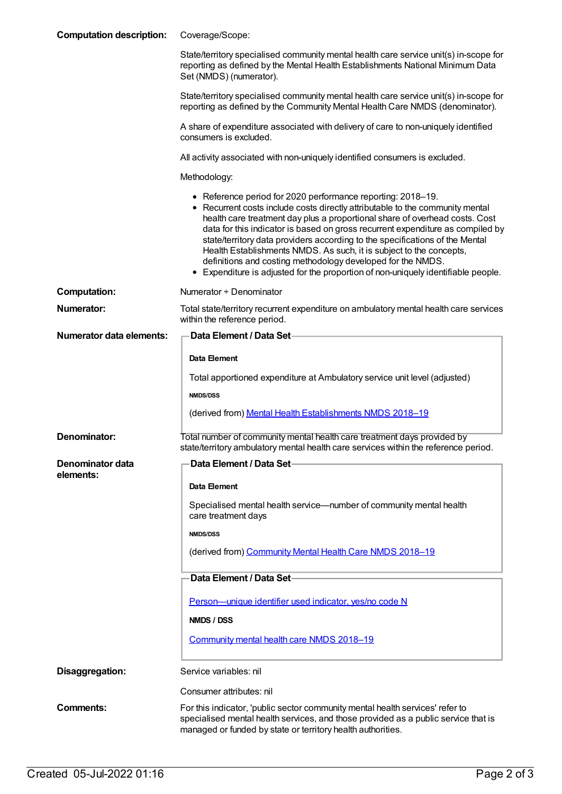| <b>Computation description:</b> | Coverage/Scope:                                                                                                                                                                                                                                                                                                                                                                                                                                                                                                                                                                                                          |
|---------------------------------|--------------------------------------------------------------------------------------------------------------------------------------------------------------------------------------------------------------------------------------------------------------------------------------------------------------------------------------------------------------------------------------------------------------------------------------------------------------------------------------------------------------------------------------------------------------------------------------------------------------------------|
|                                 | State/territory specialised community mental health care service unit(s) in-scope for<br>reporting as defined by the Mental Health Establishments National Minimum Data<br>Set (NMDS) (numerator).                                                                                                                                                                                                                                                                                                                                                                                                                       |
|                                 | State/territory specialised community mental health care service unit(s) in-scope for<br>reporting as defined by the Community Mental Health Care NMDS (denominator).                                                                                                                                                                                                                                                                                                                                                                                                                                                    |
|                                 | A share of expenditure associated with delivery of care to non-uniquely identified<br>consumers is excluded.                                                                                                                                                                                                                                                                                                                                                                                                                                                                                                             |
|                                 | All activity associated with non-uniquely identified consumers is excluded.                                                                                                                                                                                                                                                                                                                                                                                                                                                                                                                                              |
|                                 | Methodology:                                                                                                                                                                                                                                                                                                                                                                                                                                                                                                                                                                                                             |
|                                 | • Reference period for 2020 performance reporting: 2018-19.<br>• Recurrent costs include costs directly attributable to the community mental<br>health care treatment day plus a proportional share of overhead costs. Cost<br>data for this indicator is based on gross recurrent expenditure as compiled by<br>state/territory data providers according to the specifications of the Mental<br>Health Establishments NMDS. As such, it is subject to the concepts,<br>definitions and costing methodology developed for the NMDS.<br>• Expenditure is adjusted for the proportion of non-uniquely identifiable people. |
| <b>Computation:</b>             | Numerator + Denominator                                                                                                                                                                                                                                                                                                                                                                                                                                                                                                                                                                                                  |
| <b>Numerator:</b>               | Total state/territory recurrent expenditure on ambulatory mental health care services<br>within the reference period.                                                                                                                                                                                                                                                                                                                                                                                                                                                                                                    |
| <b>Numerator data elements:</b> | Data Element / Data Set-                                                                                                                                                                                                                                                                                                                                                                                                                                                                                                                                                                                                 |
|                                 | Data Element                                                                                                                                                                                                                                                                                                                                                                                                                                                                                                                                                                                                             |
|                                 | Total apportioned expenditure at Ambulatory service unit level (adjusted)                                                                                                                                                                                                                                                                                                                                                                                                                                                                                                                                                |
|                                 | <b>NMDS/DSS</b>                                                                                                                                                                                                                                                                                                                                                                                                                                                                                                                                                                                                          |
|                                 | (derived from) Mental Health Establishments NMDS 2018-19                                                                                                                                                                                                                                                                                                                                                                                                                                                                                                                                                                 |
| Denominator:                    | Total number of community mental health care treatment days provided by<br>state/territory ambulatory mental health care services within the reference period.                                                                                                                                                                                                                                                                                                                                                                                                                                                           |
| Denominator data<br>elements:   | Data Element / Data Set-                                                                                                                                                                                                                                                                                                                                                                                                                                                                                                                                                                                                 |
|                                 | Data Element                                                                                                                                                                                                                                                                                                                                                                                                                                                                                                                                                                                                             |
|                                 | Specialised mental health service—number of community mental health<br>care treatment days                                                                                                                                                                                                                                                                                                                                                                                                                                                                                                                               |
|                                 | <b>NMDS/DSS</b>                                                                                                                                                                                                                                                                                                                                                                                                                                                                                                                                                                                                          |
|                                 | (derived from) Community Mental Health Care NMDS 2018-19                                                                                                                                                                                                                                                                                                                                                                                                                                                                                                                                                                 |
|                                 | Data Element / Data Set-                                                                                                                                                                                                                                                                                                                                                                                                                                                                                                                                                                                                 |
|                                 | Person-unique identifier used indicator, yes/no code N                                                                                                                                                                                                                                                                                                                                                                                                                                                                                                                                                                   |
|                                 | NMDS / DSS                                                                                                                                                                                                                                                                                                                                                                                                                                                                                                                                                                                                               |
|                                 | Community mental health care NMDS 2018-19                                                                                                                                                                                                                                                                                                                                                                                                                                                                                                                                                                                |
| Disaggregation:                 | Service variables: nil                                                                                                                                                                                                                                                                                                                                                                                                                                                                                                                                                                                                   |
|                                 | Consumer attributes: nil                                                                                                                                                                                                                                                                                                                                                                                                                                                                                                                                                                                                 |
| <b>Comments:</b>                | For this indicator, 'public sector community mental health services' refer to<br>specialised mental health services, and those provided as a public service that is<br>managed or funded by state or territory health authorities.                                                                                                                                                                                                                                                                                                                                                                                       |